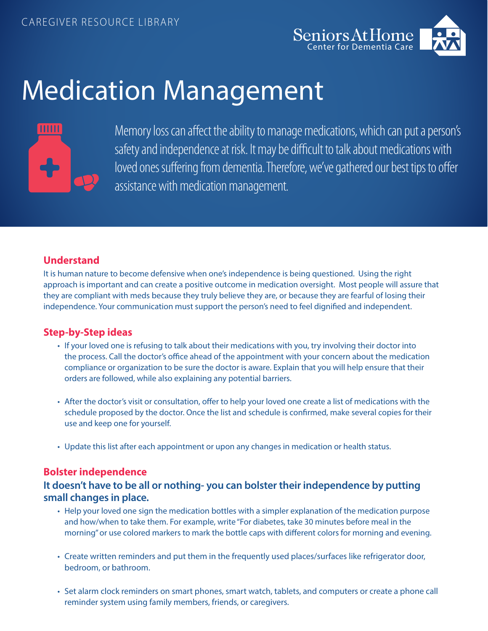

# Medication Management



Memory loss can affect the ability to manage medications, which can put a person's safety and independence at risk. It may be difficult to talk about medications with loved ones suffering from dementia. Therefore, we've gathered our best tips to offer assistance with medication management.

### **Understand**

It is human nature to become defensive when one's independence is being questioned. Using the right approach is important and can create a positive outcome in medication oversight. Most people will assure that they are compliant with meds because they truly believe they are, or because they are fearful of losing their independence. Your communication must support the person's need to feel dignified and independent.

#### **Step-by-Step ideas**

- If your loved one is refusing to talk about their medications with you, try involving their doctor into the process. Call the doctor's office ahead of the appointment with your concern about the medication compliance or organization to be sure the doctor is aware. Explain that you will help ensure that their orders are followed, while also explaining any potential barriers.
- After the doctor's visit or consultation, offer to help your loved one create a list of medications with the schedule proposed by the doctor. Once the list and schedule is confirmed, make several copies for their use and keep one for yourself.
- Update this list after each appointment or upon any changes in medication or health status.

#### **Bolster independence**

#### **It doesn't have to be all or nothing- you can bolster their independence by putting small changes in place.**

- Help your loved one sign the medication bottles with a simpler explanation of the medication purpose and how/when to take them. For example, write "For diabetes, take 30 minutes before meal in the morning" or use colored markers to mark the bottle caps with different colors for morning and evening.
- Create written reminders and put them in the frequently used places/surfaces like refrigerator door, bedroom, or bathroom.
- Set alarm clock reminders on smart phones, smart watch, tablets, and computers or create a phone call reminder system using family members, friends, or caregivers.